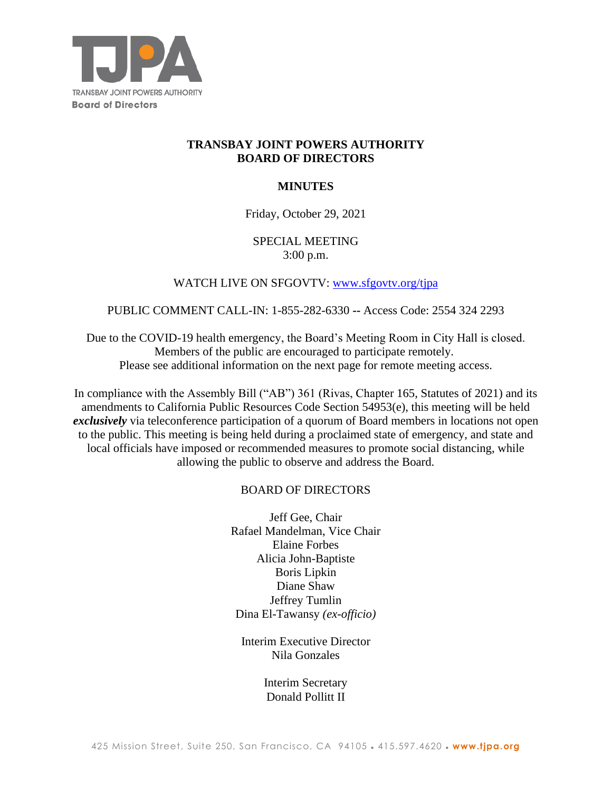

# **TRANSBAY JOINT POWERS AUTHORITY BOARD OF DIRECTORS**

## **MINUTES**

### Friday, October 29, 2021

## SPECIAL MEETING 3:00 p.m.

## WATCH LIVE ON SFGOVTV: [www.sfgovtv.org/tjpa](http://www.sfgovtv.org/tjpa)

### PUBLIC COMMENT CALL-IN: 1-855-282-6330 **--** Access Code: 2554 324 2293

Due to the COVID-19 health emergency, the Board's Meeting Room in City Hall is closed. Members of the public are encouraged to participate remotely. Please see additional information on the next page for remote meeting access.

In compliance with the Assembly Bill ("AB") 361 (Rivas, Chapter 165, Statutes of 2021) and its amendments to California Public Resources Code Section 54953(e), this meeting will be held *exclusively* via teleconference participation of a quorum of Board members in locations not open to the public. This meeting is being held during a proclaimed state of emergency, and state and local officials have imposed or recommended measures to promote social distancing, while allowing the public to observe and address the Board.

### BOARD OF DIRECTORS

Jeff Gee, Chair Rafael Mandelman, Vice Chair Elaine Forbes Alicia John-Baptiste Boris Lipkin Diane Shaw Jeffrey Tumlin Dina El-Tawansy *(ex-officio)*

Interim Executive Director Nila Gonzales

> Interim Secretary Donald Pollitt II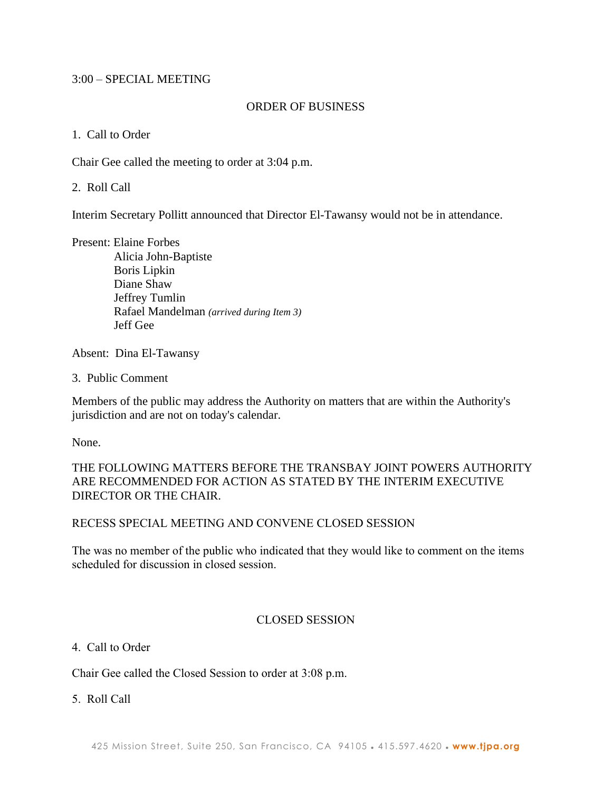### 3:00 – SPECIAL MEETING

#### ORDER OF BUSINESS

1. Call to Order

Chair Gee called the meeting to order at 3:04 p.m.

2. Roll Call

Interim Secretary Pollitt announced that Director El-Tawansy would not be in attendance.

Present: Elaine Forbes

 Alicia John-Baptiste Boris Lipkin Diane Shaw Jeffrey Tumlin Rafael Mandelman *(arrived during Item 3)* Jeff Gee

Absent: Dina El-Tawansy

3. Public Comment

Members of the public may address the Authority on matters that are within the Authority's jurisdiction and are not on today's calendar.

None.

THE FOLLOWING MATTERS BEFORE THE TRANSBAY JOINT POWERS AUTHORITY ARE RECOMMENDED FOR ACTION AS STATED BY THE INTERIM EXECUTIVE DIRECTOR OR THE CHAIR.

### RECESS SPECIAL MEETING AND CONVENE CLOSED SESSION

The was no member of the public who indicated that they would like to comment on the items scheduled for discussion in closed session.

### CLOSED SESSION

### 4. Call to Order

Chair Gee called the Closed Session to order at 3:08 p.m.

5. Roll Call